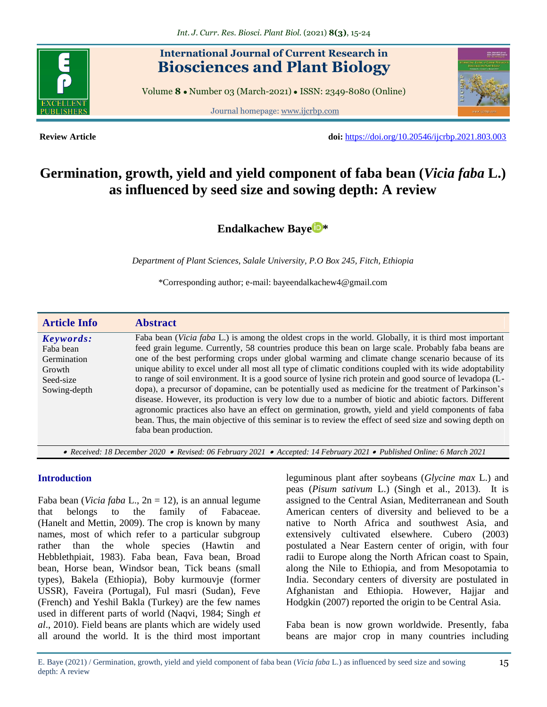

# **International Journal of Current Research in Biosciences and Plant Biology**

Volume **8** ● Number 03 (March-2021) ● ISSN: 2349-8080 (Online)

Journal homepage: [www.ijcrbp.com](http://www.ijcrbp.com/)



**Review Article doi:** <https://doi.org/10.20546/ijcrbp.2021.803.003>

# **Germination, growth, yield and yield component of faba bean (***Vicia faba* **L.) as influenced by seed size and sowing depth: A review**

**[Endalkachew Baye](https://orcid.org/0000-0002-1167-3951) \***

*Department of Plant Sciences, Salale University, P.O Box 245, Fitch, Ethiopia*

\*Corresponding author; e-mail: bayeendalkachew4@gmail.com

| <b>Article Info</b>                                                          | <b>Abstract</b>                                                                                                                                                                                                                                                                                                                                                                                                                                                                                                                                                                                                                                                                                                                                                                                                                                                                                                                                                                                        |
|------------------------------------------------------------------------------|--------------------------------------------------------------------------------------------------------------------------------------------------------------------------------------------------------------------------------------------------------------------------------------------------------------------------------------------------------------------------------------------------------------------------------------------------------------------------------------------------------------------------------------------------------------------------------------------------------------------------------------------------------------------------------------------------------------------------------------------------------------------------------------------------------------------------------------------------------------------------------------------------------------------------------------------------------------------------------------------------------|
| Keywords:<br>Faba bean<br>Germination<br>Growth<br>Seed-size<br>Sowing-depth | Faba bean (Vicia faba L.) is among the oldest crops in the world. Globally, it is third most important<br>feed grain legume. Currently, 58 countries produce this bean on large scale. Probably faba beans are<br>one of the best performing crops under global warming and climate change scenario because of its<br>unique ability to excel under all most all type of climatic conditions coupled with its wide adoptability<br>to range of soil environment. It is a good source of lysine rich protein and good source of levadopa (L-<br>dopa), a precursor of dopamine, can be potentially used as medicine for the treatment of Parkinson's<br>disease. However, its production is very low due to a number of biotic and abiotic factors. Different<br>agronomic practices also have an effect on germination, growth, yield and yield components of faba<br>bean. Thus, the main objective of this seminar is to review the effect of seed size and sowing depth on<br>faba bean production. |

 *Received: 18 December 2020 Revised: 06 February 2021 Accepted: 14 February 2021 Published Online: 6 March 2021*

#### **Introduction**

Faba bean (*Vicia faba* L., 2n = 12), is an annual legume that belongs to the family of Fabaceae. (Hanelt and Mettin, 2009). The crop is known by many names, most of which refer to a particular subgroup rather than the whole species (Hawtin and Hebblethpiait, 1983). Faba bean, Fava bean, Broad bean, Horse bean, Windsor bean, Tick beans (small types), Bakela (Ethiopia), Boby kurmouvje (former USSR), Faveira (Portugal), Ful masri (Sudan), Feve (French) and Yeshil Bakla (Turkey) are the few names used in different parts of world (Naqvi, 1984; Singh *et al*., 2010). Field beans are plants which are widely used all around the world. It is the third most important leguminous plant after soybeans (*Glycine max* L.) and peas (*Pisum sativum* L.) (Singh et al., 2013). It is assigned to the Central Asian, Mediterranean and South American centers of diversity and believed to be a native to North Africa and southwest Asia, and extensively cultivated elsewhere. Cubero (2003) postulated a Near Eastern center of origin, with four radii to Europe along the North African coast to Spain, along the Nile to Ethiopia, and from Mesopotamia to India. Secondary centers of diversity are postulated in Afghanistan and Ethiopia. However, Hajjar and Hodgkin (2007) reported the origin to be Central Asia.

Faba bean is now grown worldwide. Presently, faba beans are major crop in many countries including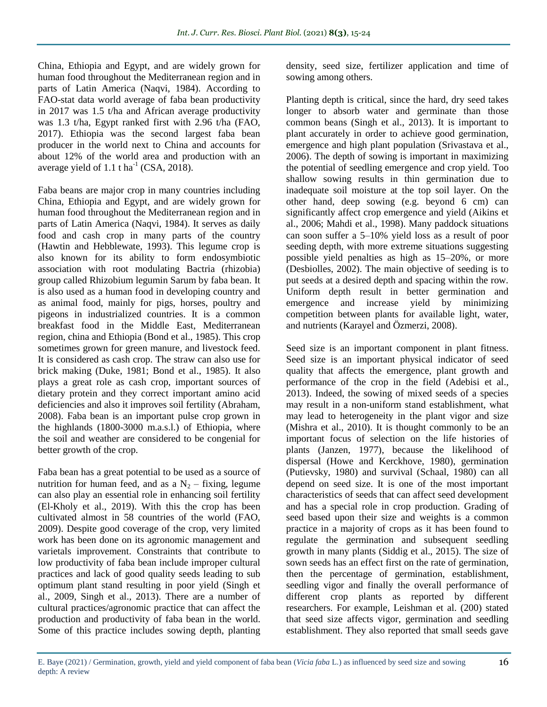China, Ethiopia and Egypt, and are widely grown for human food throughout the Mediterranean region and in parts of Latin America (Naqvi, 1984). According to FAO-stat data world average of faba bean productivity in 2017 was 1.5 t/ha and African average productivity was 1.3 t/ha, Egypt ranked first with 2.96 t/ha (FAO, 2017). Ethiopia was the second largest faba bean producer in the world next to China and accounts for about 12% of the world area and production with an average yield of 1.1 t ha<sup>-1</sup> (CSA, 2018).

Faba beans are major crop in many countries including China, Ethiopia and Egypt, and are widely grown for human food throughout the Mediterranean region and in parts of Latin America (Naqvi, 1984). It serves as daily food and cash crop in many parts of the country (Hawtin and Hebblewate, 1993). This legume crop is also known for its ability to form endosymbiotic association with root modulating Bactria (rhizobia) group called Rhizobium legumin Sarum by faba bean. It is also used as a human food in developing country and as animal food, mainly for pigs, horses, poultry and pigeons in industrialized countries. It is a common breakfast food in the Middle East, Mediterranean region, china and Ethiopia (Bond et al., 1985). This crop sometimes grown for green manure, and livestock feed. It is considered as cash crop. The straw can also use for brick making (Duke, 1981; Bond et al., 1985). It also plays a great role as cash crop, important sources of dietary protein and they correct important amino acid deficiencies and also it improves soil fertility (Abraham, 2008). Faba bean is an important pulse crop grown in the highlands (1800-3000 m.a.s.l.) of Ethiopia, where the soil and weather are considered to be congenial for better growth of the crop.

Faba bean has a great potential to be used as a source of nutrition for human feed, and as a  $N_2$  – fixing, legume can also play an essential role in enhancing soil fertility (El-Kholy et al., 2019). With this the crop has been cultivated almost in 58 countries of the world (FAO, 2009). Despite good coverage of the crop, very limited work has been done on its agronomic management and varietals improvement. Constraints that contribute to low productivity of faba bean include improper cultural practices and lack of good quality seeds leading to sub optimum plant stand resulting in poor yield (Singh et al., 2009, Singh et al., 2013). There are a number of cultural practices/agronomic practice that can affect the production and productivity of faba bean in the world. Some of this practice includes sowing depth, planting

density, seed size, fertilizer application and time of sowing among others.

Planting depth is critical, since the hard, dry seed takes longer to absorb water and germinate than those common beans (Singh et al., 2013). It is important to plant accurately in order to achieve good germination, emergence and high plant population (Srivastava et al., 2006). The depth of sowing is important in maximizing the potential of seedling emergence and crop yield. Too shallow sowing results in thin germination due to inadequate soil moisture at the top soil layer. On the other hand, deep sowing (e.g. beyond 6 cm) can significantly affect crop emergence and yield (Aikins et al., 2006; Mahdi et al., 1998). Many paddock situations can soon suffer a 5–10% yield loss as a result of poor seeding depth, with more extreme situations suggesting possible yield penalties as high as 15–20%, or more (Desbiolles, 2002). The main objective of seeding is to put seeds at a desired depth and spacing within the row. Uniform depth result in better germination and emergence and increase yield by minimizing competition between plants for available light, water, and nutrients (Karayel and Özmerzi, 2008).

Seed size is an important component in plant fitness. Seed size is an important physical indicator of seed quality that affects the emergence, plant growth and performance of the crop in the field (Adebisi et al., 2013). Indeed, the sowing of mixed seeds of a species may result in a non-uniform stand establishment, what may lead to heterogeneity in the plant vigor and size (Mishra et al., 2010). It is thought commonly to be an important focus of selection on the life histories of plants (Janzen, 1977), because the likelihood of dispersal (Howe and Kerckhove, 1980), germination (Putievsky, 1980) and survival (Schaal, 1980) can all depend on seed size. It is one of the most important characteristics of seeds that can affect seed development and has a special role in crop production. Grading of seed based upon their size and weights is a common practice in a majority of crops as it has been found to regulate the germination and subsequent seedling growth in many plants (Siddig et al., 2015). The size of sown seeds has an effect first on the rate of germination, then the percentage of germination, establishment, seedling vigor and finally the overall performance of different crop plants as reported by different researchers. For example, Leishman et al. (200) stated that seed size affects vigor, germination and seedling establishment. They also reported that small seeds gave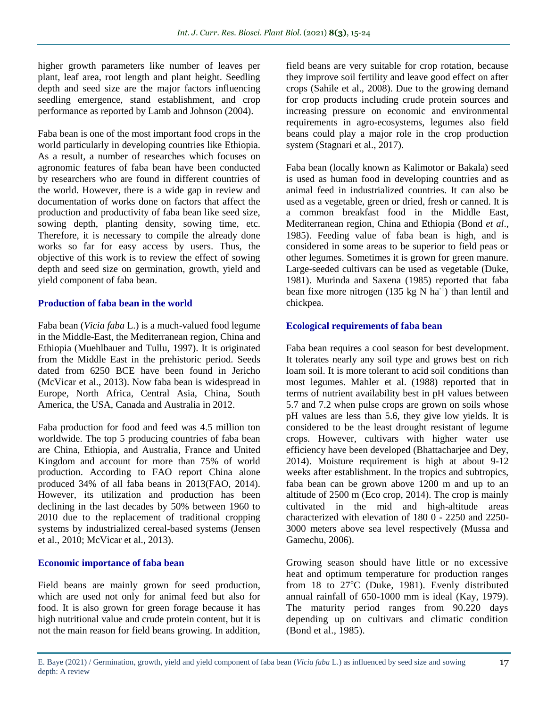higher growth parameters like number of leaves per plant, leaf area, root length and plant height. Seedling depth and seed size are the major factors influencing seedling emergence, stand establishment, and crop performance as reported by Lamb and Johnson (2004).

Faba bean is one of the most important food crops in the world particularly in developing countries like Ethiopia. As a result, a number of researches which focuses on agronomic features of faba bean have been conducted by researchers who are found in different countries of the world. However, there is a wide gap in review and documentation of works done on factors that affect the production and productivity of faba bean like seed size, sowing depth, planting density, sowing time, etc. Therefore, it is necessary to compile the already done works so far for easy access by users. Thus, the objective of this work is to review the effect of sowing depth and seed size on germination, growth, yield and yield component of faba bean.

#### **Production of faba bean in the world**

Faba bean (*Vicia faba* L.) is a much-valued food legume in the Middle-East, the Mediterranean region, China and Ethiopia (Muehlbauer and Tullu, 1997). It is originated from the Middle East in the prehistoric period. Seeds dated from 6250 BCE have been found in Jericho (McVicar et al., 2013). Now faba bean is widespread in Europe, North Africa, Central Asia, China, South America, the USA, Canada and Australia in 2012.

Faba production for food and feed was 4.5 million ton worldwide. The top 5 producing countries of faba bean are China, Ethiopia, and Australia, France and United Kingdom and account for more than 75% of world production. According to FAO report China alone produced 34% of all faba beans in 2013(FAO, 2014). However, its utilization and production has been declining in the last decades by 50% between 1960 to 2010 due to the replacement of traditional cropping systems by industrialized cereal-based systems (Jensen et al., 2010; McVicar et al., 2013).

#### **Economic importance of faba bean**

Field beans are mainly grown for seed production, which are used not only for animal feed but also for food. It is also grown for green forage because it has high nutritional value and crude protein content, but it is not the main reason for field beans growing. In addition, field beans are very suitable for crop rotation, because they improve soil fertility and leave good effect on after crops (Sahile et al., 2008). Due to the growing demand for crop products including crude protein sources and increasing pressure on economic and environmental requirements in agro-ecosystems, legumes also field beans could play a major role in the crop production system (Stagnari et al., 2017).

Faba bean (locally known as Kalimotor or Bakala) seed is used as human food in developing countries and as animal feed in industrialized countries. It can also be used as a vegetable, green or dried, fresh or canned. It is a common breakfast food in the Middle East, Mediterranean region, China and Ethiopia (Bond *et al*., 1985). Feeding value of faba bean is high, and is considered in some areas to be superior to field peas or other legumes. Sometimes it is grown for green manure. Large-seeded cultivars can be used as vegetable (Duke, 1981). Murinda and Saxena (1985) reported that faba bean fixe more nitrogen (135 kg N ha<sup>-1</sup>) than lentil and chickpea.

#### **Ecological requirements of faba bean**

Faba bean requires a cool season for best development. It tolerates nearly any soil type and grows best on rich loam soil. It is more tolerant to acid soil conditions than most legumes. Mahler et al. (1988) reported that in terms of nutrient availability best in pH values between 5.7 and 7.2 when pulse crops are grown on soils whose pH values are less than 5.6, they give low yields. It is considered to be the least drought resistant of legume crops. However, cultivars with higher water use efficiency have been developed (Bhattacharjee and Dey, 2014). Moisture requirement is high at about 9-12 weeks after establishment. In the tropics and subtropics, faba bean can be grown above 1200 m and up to an altitude of 2500 m (Eco crop, 2014). The crop is mainly cultivated in the mid and high-altitude areas characterized with elevation of 180 0 - 2250 and 2250- 3000 meters above sea level respectively (Mussa and Gamechu, 2006).

Growing season should have little or no excessive heat and optimum temperature for production ranges from  $18$  to  $27^{\circ}$ C (Duke, 1981). Evenly distributed annual rainfall of 650-1000 mm is ideal (Kay, 1979). The maturity period ranges from 90.220 days depending up on cultivars and climatic condition (Bond et al., 1985).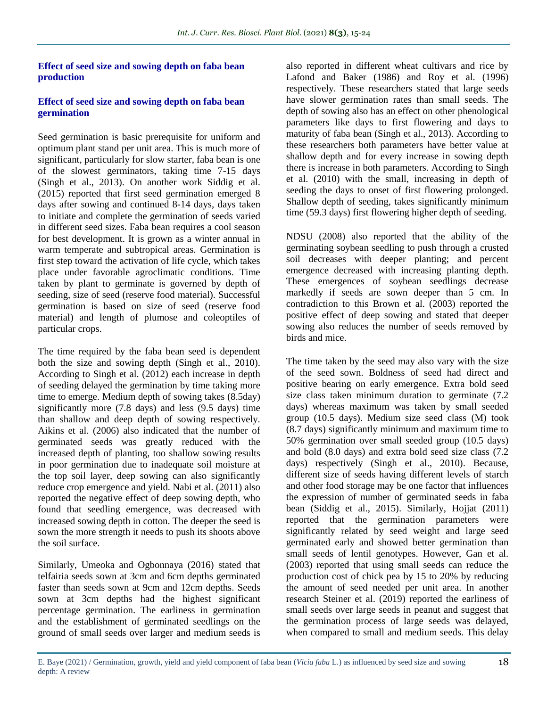#### **Effect of seed size and sowing depth on faba bean production**

#### **Effect of seed size and sowing depth on faba bean germination**

Seed germination is basic prerequisite for uniform and optimum plant stand per unit area. This is much more of significant, particularly for slow starter, faba bean is one of the slowest germinators, taking time 7-15 days (Singh et al., 2013). On another work Siddig et al. (2015) reported that first seed germination emerged 8 days after sowing and continued 8-14 days, days taken to initiate and complete the germination of seeds varied in different seed sizes. Faba bean requires a cool season for best development. It is grown as a winter annual in warm temperate and subtropical areas. Germination is first step toward the activation of life cycle, which takes place under favorable agroclimatic conditions. Time taken by plant to germinate is governed by depth of seeding, size of seed (reserve food material). Successful germination is based on size of seed (reserve food material) and length of plumose and coleoptiles of particular crops.

The time required by the faba bean seed is dependent both the size and sowing depth (Singh et al., 2010). According to Singh et al. (2012) each increase in depth of seeding delayed the germination by time taking more time to emerge. Medium depth of sowing takes (8.5day) significantly more (7.8 days) and less (9.5 days) time than shallow and deep depth of sowing respectively. Aikins et al. (2006) also indicated that the number of germinated seeds was greatly reduced with the increased depth of planting, too shallow sowing results in poor germination due to inadequate soil moisture at the top soil layer, deep sowing can also significantly reduce crop emergence and yield. Nabi et al. (2011) also reported the negative effect of deep sowing depth, who found that seedling emergence, was decreased with increased sowing depth in cotton. The deeper the seed is sown the more strength it needs to push its shoots above the soil surface.

Similarly, Umeoka and Ogbonnaya (2016) stated that telfairia seeds sown at 3cm and 6cm depths germinated faster than seeds sown at 9cm and 12cm depths. Seeds sown at 3cm depths had the highest significant percentage germination. The earliness in germination and the establishment of germinated seedlings on the ground of small seeds over larger and medium seeds is also reported in different wheat cultivars and rice by Lafond and Baker (1986) and Roy et al. (1996) respectively. These researchers stated that large seeds have slower germination rates than small seeds. The depth of sowing also has an effect on other phenological parameters like days to first flowering and days to maturity of faba bean (Singh et al., 2013). According to these researchers both parameters have better value at shallow depth and for every increase in sowing depth there is increase in both parameters. According to Singh et al. (2010) with the small, increasing in depth of seeding the days to onset of first flowering prolonged. Shallow depth of seeding, takes significantly minimum time (59.3 days) first flowering higher depth of seeding.

NDSU (2008) also reported that the ability of the germinating soybean seedling to push through a crusted soil decreases with deeper planting; and percent emergence decreased with increasing planting depth. These emergences of soybean seedlings decrease markedly if seeds are sown deeper than 5 cm. In contradiction to this Brown et al. (2003) reported the positive effect of deep sowing and stated that deeper sowing also reduces the number of seeds removed by birds and mice.

The time taken by the seed may also vary with the size of the seed sown. Boldness of seed had direct and positive bearing on early emergence. Extra bold seed size class taken minimum duration to germinate (7.2 days) whereas maximum was taken by small seeded group (10.5 days). Medium size seed class (M) took (8.7 days) significantly minimum and maximum time to 50% germination over small seeded group (10.5 days) and bold (8.0 days) and extra bold seed size class (7.2 days) respectively (Singh et al., 2010). Because, different size of seeds having different levels of starch and other food storage may be one factor that influences the expression of number of germinated seeds in faba bean (Siddig et al., 2015). Similarly, Hojjat (2011) reported that the germination parameters were significantly related by seed weight and large seed germinated early and showed better germination than small seeds of lentil genotypes. However, Gan et al. (2003) reported that using small seeds can reduce the production cost of chick pea by 15 to 20% by reducing the amount of seed needed per unit area. In another research Steiner et al. (2019) reported the earliness of small seeds over large seeds in peanut and suggest that the germination process of large seeds was delayed, when compared to small and medium seeds. This delay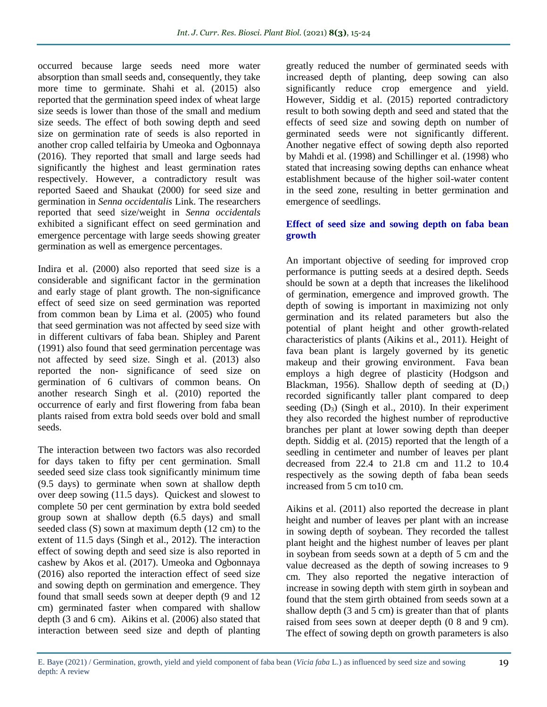occurred because large seeds need more water absorption than small seeds and, consequently, they take more time to germinate. Shahi et al. (2015) also reported that the germination speed index of wheat large size seeds is lower than those of the small and medium size seeds. The effect of both sowing depth and seed size on germination rate of seeds is also reported in another crop called telfairia by Umeoka and Ogbonnaya (2016). They reported that small and large seeds had significantly the highest and least germination rates respectively. However, a contradictory result was reported Saeed and Shaukat (2000) for seed size and germination in *Senna occidentalis* Link. The researchers reported that seed size/weight in *Senna occidentals* exhibited a significant effect on seed germination and emergence percentage with large seeds showing greater germination as well as emergence percentages.

Indira et al. (2000) also reported that seed size is a considerable and significant factor in the germination and early stage of plant growth. The non-significance effect of seed size on seed germination was reported from common bean by Lima et al. (2005) who found that seed germination was not affected by seed size with in different cultivars of faba bean. Shipley and Parent (1991) also found that seed germination percentage was not affected by seed size. Singh et al. (2013) also reported the non- significance of seed size on germination of 6 cultivars of common beans. On another research Singh et al. (2010) reported the occurrence of early and first flowering from faba bean plants raised from extra bold seeds over bold and small seeds.

The interaction between two factors was also recorded for days taken to fifty per cent germination. Small seeded seed size class took significantly minimum time (9.5 days) to germinate when sown at shallow depth over deep sowing (11.5 days). Quickest and slowest to complete 50 per cent germination by extra bold seeded group sown at shallow depth (6.5 days) and small seeded class (S) sown at maximum depth (12 cm) to the extent of 11.5 days (Singh et al., 2012). The interaction effect of sowing depth and seed size is also reported in cashew by Akos et al. (2017). Umeoka and Ogbonnaya (2016) also reported the interaction effect of seed size and sowing depth on germination and emergence. They found that small seeds sown at deeper depth (9 and 12 cm) germinated faster when compared with shallow depth (3 and 6 cm). Aikins et al. (2006) also stated that interaction between seed size and depth of planting

greatly reduced the number of germinated seeds with increased depth of planting, deep sowing can also significantly reduce crop emergence and yield. However, Siddig et al. (2015) reported contradictory result to both sowing depth and seed and stated that the effects of seed size and sowing depth on number of germinated seeds were not significantly different. Another negative effect of sowing depth also reported by Mahdi et al. (1998) and Schillinger et al. (1998) who stated that increasing sowing depths can enhance wheat establishment because of the higher soil-water content in the seed zone, resulting in better germination and emergence of seedlings.

#### **Effect of seed size and sowing depth on faba bean growth**

An important objective of seeding for improved crop performance is putting seeds at a desired depth. Seeds should be sown at a depth that increases the likelihood of germination, emergence and improved growth. The depth of sowing is important in maximizing not only germination and its related parameters but also the potential of plant height and other growth-related characteristics of plants (Aikins et al., 2011). Height of fava bean plant is largely governed by its genetic makeup and their growing environment. Fava bean employs a high degree of plasticity (Hodgson and Blackman, 1956). Shallow depth of seeding at  $(D_1)$ recorded significantly taller plant compared to deep seeding  $(D_3)$  (Singh et al., 2010). In their experiment they also recorded the highest number of reproductive branches per plant at lower sowing depth than deeper depth. Siddig et al. (2015) reported that the length of a seedling in centimeter and number of leaves per plant decreased from 22.4 to 21.8 cm and 11.2 to 10.4 respectively as the sowing depth of faba bean seeds increased from 5 cm to10 cm.

Aikins et al. (2011) also reported the decrease in plant height and number of leaves per plant with an increase in sowing depth of soybean. They recorded the tallest plant height and the highest number of leaves per plant in soybean from seeds sown at a depth of 5 cm and the value decreased as the depth of sowing increases to 9 cm. They also reported the negative interaction of increase in sowing depth with stem girth in soybean and found that the stem girth obtained from seeds sown at a shallow depth (3 and 5 cm) is greater than that of plants raised from sees sown at deeper depth (0 8 and 9 cm). The effect of sowing depth on growth parameters is also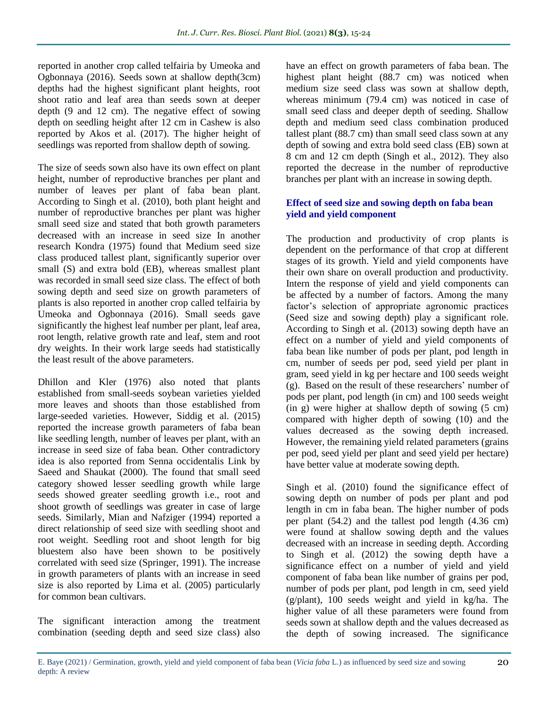reported in another crop called telfairia by Umeoka and Ogbonnaya (2016). Seeds sown at shallow depth(3cm) depths had the highest significant plant heights, root shoot ratio and leaf area than seeds sown at deeper depth (9 and 12 cm). The negative effect of sowing depth on seedling height after 12 cm in Cashew is also reported by Akos et al. (2017). The higher height of seedlings was reported from shallow depth of sowing.

The size of seeds sown also have its own effect on plant height, number of reproductive branches per plant and number of leaves per plant of faba bean plant. According to Singh et al. (2010), both plant height and number of reproductive branches per plant was higher small seed size and stated that both growth parameters decreased with an increase in seed size In another research Kondra (1975) found that Medium seed size class produced tallest plant, significantly superior over small (S) and extra bold (EB), whereas smallest plant was recorded in small seed size class. The effect of both sowing depth and seed size on growth parameters of plants is also reported in another crop called telfairia by Umeoka and Ogbonnaya (2016). Small seeds gave significantly the highest leaf number per plant, leaf area, root length, relative growth rate and leaf, stem and root dry weights. In their work large seeds had statistically the least result of the above parameters.

Dhillon and Kler (1976) also noted that plants established from small-seeds soybean varieties yielded more leaves and shoots than those established from large-seeded varieties. However, Siddig et al. (2015) reported the increase growth parameters of faba bean like seedling length, number of leaves per plant, with an increase in seed size of faba bean. Other contradictory idea is also reported from Senna occidentalis Link by Saeed and Shaukat (2000). The found that small seed category showed lesser seedling growth while large seeds showed greater seedling growth i.e., root and shoot growth of seedlings was greater in case of large seeds. Similarly, Mian and Nafziger (1994) reported a direct relationship of seed size with seedling shoot and root weight. Seedling root and shoot length for big bluestem also have been shown to be positively correlated with seed size (Springer, 1991). The increase in growth parameters of plants with an increase in seed size is also reported by Lima et al. (2005) particularly for common bean cultivars.

The significant interaction among the treatment combination (seeding depth and seed size class) also have an effect on growth parameters of faba bean. The highest plant height (88.7 cm) was noticed when medium size seed class was sown at shallow depth, whereas minimum (79.4 cm) was noticed in case of small seed class and deeper depth of seeding. Shallow depth and medium seed class combination produced tallest plant (88.7 cm) than small seed class sown at any depth of sowing and extra bold seed class (EB) sown at 8 cm and 12 cm depth (Singh et al., 2012). They also reported the decrease in the number of reproductive branches per plant with an increase in sowing depth.

# **Effect of seed size and sowing depth on faba bean yield and yield component**

The production and productivity of crop plants is dependent on the performance of that crop at different stages of its growth. Yield and yield components have their own share on overall production and productivity. Intern the response of yield and yield components can be affected by a number of factors. Among the many factor's selection of appropriate agronomic practices (Seed size and sowing depth) play a significant role. According to Singh et al. (2013) sowing depth have an effect on a number of yield and yield components of faba bean like number of pods per plant, pod length in cm, number of seeds per pod, seed yield per plant in gram, seed yield in kg per hectare and 100 seeds weight (g). Based on the result of these researchers' number of pods per plant, pod length (in cm) and 100 seeds weight (in g) were higher at shallow depth of sowing (5 cm) compared with higher depth of sowing (10) and the values decreased as the sowing depth increased. However, the remaining yield related parameters (grains per pod, seed yield per plant and seed yield per hectare) have better value at moderate sowing depth.

Singh et al. (2010) found the significance effect of sowing depth on number of pods per plant and pod length in cm in faba bean. The higher number of pods per plant (54.2) and the tallest pod length (4.36 cm) were found at shallow sowing depth and the values decreased with an increase in seeding depth. According to Singh et al. (2012) the sowing depth have a significance effect on a number of yield and yield component of faba bean like number of grains per pod, number of pods per plant, pod length in cm, seed yield (g/plant), 100 seeds weight and yield in kg/ha. The higher value of all these parameters were found from seeds sown at shallow depth and the values decreased as the depth of sowing increased. The significance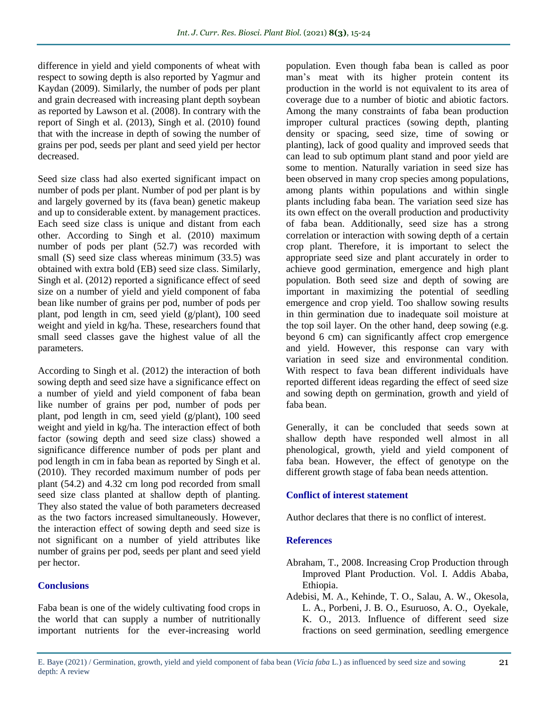difference in yield and yield components of wheat with respect to sowing depth is also reported by Yagmur and Kaydan (2009). Similarly, the number of pods per plant and grain decreased with increasing plant depth soybean as reported by Lawson et al. (2008). In contrary with the report of Singh et al. (2013), Singh et al. (2010) found that with the increase in depth of sowing the number of grains per pod, seeds per plant and seed yield per hector decreased.

Seed size class had also exerted significant impact on number of pods per plant. Number of pod per plant is by and largely governed by its (fava bean) genetic makeup and up to considerable extent. by management practices. Each seed size class is unique and distant from each other. According to Singh et al. (2010) maximum number of pods per plant (52.7) was recorded with small (S) seed size class whereas minimum (33.5) was obtained with extra bold (EB) seed size class. Similarly, Singh et al. (2012) reported a significance effect of seed size on a number of yield and yield component of faba bean like number of grains per pod, number of pods per plant, pod length in cm, seed yield (g/plant), 100 seed weight and yield in kg/ha. These, researchers found that small seed classes gave the highest value of all the parameters.

According to Singh et al. (2012) the interaction of both sowing depth and seed size have a significance effect on a number of yield and yield component of faba bean like number of grains per pod, number of pods per plant, pod length in cm, seed yield (g/plant), 100 seed weight and yield in kg/ha. The interaction effect of both factor (sowing depth and seed size class) showed a significance difference number of pods per plant and pod length in cm in faba bean as reported by Singh et al. (2010). They recorded maximum number of pods per plant (54.2) and 4.32 cm long pod recorded from small seed size class planted at shallow depth of planting. They also stated the value of both parameters decreased as the two factors increased simultaneously. However, the interaction effect of sowing depth and seed size is not significant on a number of yield attributes like number of grains per pod, seeds per plant and seed yield per hector.

# **Conclusions**

Faba bean is one of the widely cultivating food crops in the world that can supply a number of nutritionally important nutrients for the ever-increasing world population. Even though faba bean is called as poor man's meat with its higher protein content its production in the world is not equivalent to its area of coverage due to a number of biotic and abiotic factors. Among the many constraints of faba bean production improper cultural practices (sowing depth, planting density or spacing, seed size, time of sowing or planting), lack of good quality and improved seeds that can lead to sub optimum plant stand and poor yield are some to mention. Naturally variation in seed size has been observed in many crop species among populations, among plants within populations and within single plants including faba bean. The variation seed size has its own effect on the overall production and productivity of faba bean. Additionally, seed size has a strong correlation or interaction with sowing depth of a certain crop plant. Therefore, it is important to select the appropriate seed size and plant accurately in order to achieve good germination, emergence and high plant population. Both seed size and depth of sowing are important in maximizing the potential of seedling emergence and crop yield. Too shallow sowing results in thin germination due to inadequate soil moisture at the top soil layer. On the other hand, deep sowing (e.g. beyond 6 cm) can significantly affect crop emergence and yield. However, this response can vary with variation in seed size and environmental condition. With respect to fava bean different individuals have reported different ideas regarding the effect of seed size and sowing depth on germination, growth and yield of faba bean.

Generally, it can be concluded that seeds sown at shallow depth have responded well almost in all phenological, growth, yield and yield component of faba bean. However, the effect of genotype on the different growth stage of faba bean needs attention.

# **Conflict of interest statement**

Author declares that there is no conflict of interest.

# **References**

- Abraham, T., 2008. Increasing Crop Production through Improved Plant Production. Vol. I. Addis Ababa, Ethiopia.
- Adebisi, M. A., Kehinde, T. O., Salau, A. W., Okesola, L. A., Porbeni, J. B. O., Esuruoso, A. O., Oyekale, K. O., 2013. Influence of different seed size fractions on seed germination, seedling emergence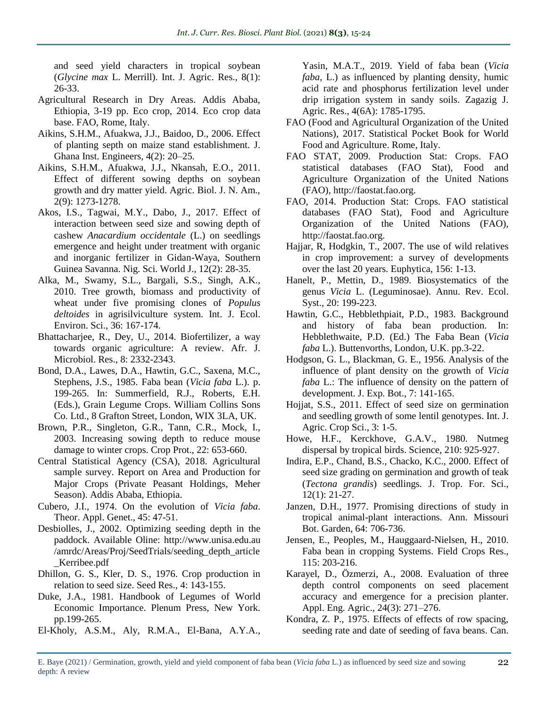and seed yield characters in tropical soybean (*Glycine max* L. Merrill). Int. J. Agric. Res., 8(1): 26-33.

- Agricultural Research in Dry Areas. Addis Ababa, Ethiopia, 3-19 pp. Eco crop, 2014. Eco crop data base. FAO, Rome, Italy.
- Aikins, S.H.M., Afuakwa, J.J., Baidoo, D., 2006. Effect of planting septh on maize stand establishment. J. Ghana Inst. Engineers, 4(2): 20–25.
- Aikins, S.H.M., Afuakwa, J.J., Nkansah, E.O., 2011. Effect of different sowing depths on soybean growth and dry matter yield. Agric. Biol. J. N. Am., 2(9): 1273-1278.
- Akos, I.S., Tagwai, M.Y., Dabo, J., 2017. Effect of interaction between seed size and sowing depth of cashew *Anacardium occidentale* (L.) on seedlings emergence and height under treatment with organic and inorganic fertilizer in Gidan-Waya, Southern Guinea Savanna. Nig. Sci. World J., 12(2): 28-35.
- Alka, M., Swamy, S.L., Bargali, S.S., Singh, A.K., 2010. Tree growth, biomass and productivity of wheat under five promising clones of *Populus deltoides* in agrisilviculture system. Int. J. Ecol. Environ. Sci., 36: 167-174.
- Bhattacharjee, R., Dey, U., 2014. Biofertilizer, a way towards organic agriculture: A review. Afr. J. Microbiol. Res., 8: 2332-2343.
- Bond, D.A., Lawes, D.A., Hawtin, G.C., Saxena, M.C., Stephens, J.S., 1985. Faba bean (*Vicia faba* L.). p. 199-265. In: Summerfield, R.J., Roberts, E.H. (Eds.), Grain Legume Crops. William Collins Sons Co. Ltd., 8 Grafton Street, London, WIX 3LA, UK.
- Brown, P.R., Singleton, G.R., Tann, C.R., Mock, I., 2003. Increasing sowing depth to reduce mouse damage to winter crops. Crop Prot., 22: 653-660.
- Central Statistical Agency (CSA), 2018. Agricultural sample survey. Report on Area and Production for Major Crops (Private Peasant Holdings, Meher Season). Addis Ababa, Ethiopia.
- Cubero, J.I., 1974. On the evolution of *Vicia faba*. Theor. Appl. Genet., 45: 47-51.
- Desbiolles, J., 2002. Optimizing seeding depth in the paddock. Available Oline: http://www.unisa.edu.au /amrdc/Areas/Proj/SeedTrials/seeding\_depth\_article \_Kerribee.pdf
- Dhillon, G. S., Kler, D. S., 1976. Crop production in relation to seed size. Seed Res., 4: 143-155.
- Duke, J.A., 1981. Handbook of Legumes of World Economic Importance. Plenum Press, New York. pp.199-265.
- El-Kholy, A.S.M., Aly, R.M.A., El-Bana, A.Y.A.,

Yasin, M.A.T., 2019. Yield of faba bean (*Vicia faba*, L.) as influenced by planting density, humic acid rate and phosphorus fertilization level under drip irrigation system in sandy soils. Zagazig J. Agric. Res., 4(6A): 1785-1795.

- FAO (Food and Agricultural Organization of the United Nations), 2017. Statistical Pocket Book for World Food and Agriculture. Rome, Italy.
- FAO STAT, 2009. Production Stat: Crops. FAO statistical databases (FAO Stat), Food and Agriculture Organization of the United Nations (FAO), http://faostat.fao.org.
- FAO, 2014. Production Stat: Crops. FAO statistical databases (FAO Stat), Food and Agriculture Organization of the United Nations (FAO), http://faostat.fao.org.
- Hajjar, R, Hodgkin, T., 2007. The use of wild relatives in crop improvement: a survey of developments over the last 20 years. Euphytica, 156: 1-13.
- Hanelt, P., Mettin, D., 1989. Biosystematics of the genus *Vicia* L. (Leguminosae). Annu. Rev. Ecol. Syst., 20: 199-223.
- Hawtin, G.C., Hebblethpiait, P.D., 1983. Background and history of faba bean production. In: Hebblethwaite, P.D. (Ed.) The Faba Bean (*Vicia faba* L.). Buttenvorths, London, U.K. pp.3-22.
- Hodgson, G. L., Blackman, G. E., 1956. Analysis of the influence of plant density on the growth of *Vicia faba* L.: The influence of density on the pattern of development. J. Exp. Bot., 7: 141-165.
- Hojjat, S.S., 2011. Effect of seed size on germination and seedling growth of some lentil genotypes. Int. J. Agric. Crop Sci., 3: 1-5.
- Howe, H.F., Kerckhove, G.A.V., 1980. Nutmeg dispersal by tropical birds. Science, 210: 925-927.
- Indira, E.P., Chand, B.S., Chacko, K.C., 2000. Effect of seed size grading on germination and growth of teak (*Tectona grandis*) seedlings. J. Trop. For. Sci., 12(1): 21-27.
- Janzen, D.H., 1977. Promising directions of study in tropical animal-plant interactions. Ann. Missouri Bot. Garden, 64: 706-736.
- Jensen, E., Peoples, M., Hauggaard-Nielsen, H., 2010. Faba bean in cropping Systems. Field Crops Res., 115: 203-216.
- Karayel, D., Özmerzi, A., 2008. Evaluation of three depth control components on seed placement accuracy and emergence for a precision planter. Appl. Eng. Agric., 24(3): 271–276.
- Kondra, Z. P., 1975. Effects of effects of row spacing, seeding rate and date of seeding of fava beans. Can.
- E. Baye (2021) / Germination, growth, yield and yield component of faba bean (*Vicia faba* L.) as influenced by seed size and sowing depth: A review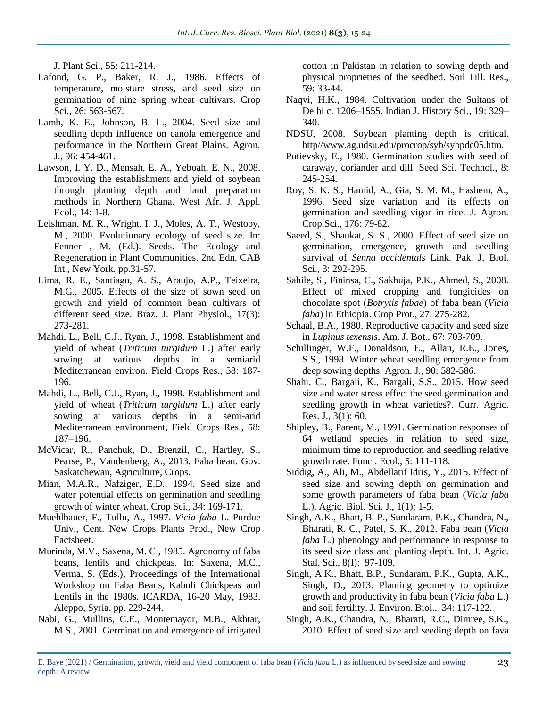J. Plant Sci., 55: 211-214.

- Lafond, G. P., Baker, R. J., 1986. Effects of temperature, moisture stress, and seed size on germination of nine spring wheat cultivars. Crop Sci., 26: 563-567.
- Lamb, K. E., Johnson, B. L., 2004. Seed size and seedling depth influence on canola emergence and performance in the Northern Great Plains. Agron. J., 96: 454-461.
- Lawson, I. Y. D., Mensah, E. A., Yeboah, E. N., 2008. Improving the establishment and yield of soybean through planting depth and land preparation methods in Northern Ghana. West Afr. J. Appl. Ecol., 14: 1-8.
- Leishman, M. R., Wright, I. J., Moles, A. T., Westoby, M., 2000. Evolutionary ecology of seed size. In: Fenner , M. (Ed.). Seeds. The Ecology and Regeneration in Plant Communities. 2nd Edn. CAB Int., New York. pp.31-57.
- Lima, R. E., Santiago, A. S., Araujo, A.P., Teixeira, M.G., 2005. Effects of the size of sown seed on growth and yield of common bean cultivars of different seed size. Braz. J. Plant Physiol., 17(3): 273-281.
- Mahdi, L., Bell, C.J., Ryan, J., 1998. Establishment and yield of wheat (*Triticum turgidum* L.) after early sowing at various depths in a semiarid Mediterranean environ. Field Crops Res., 58: 187- 196.
- Mahdi, L., Bell, C.J., Ryan, J., 1998. Establishment and yield of wheat (*Triticum turgidum* L.) after early sowing at various depths in a semi-arid Mediterranean environment, Field Crops Res., 58: 187–196.
- McVicar, R., Panchuk, D., Brenzil, C., Hartley, S., Pearse, P., Vandenberg, A., 2013. Faba bean. Gov. Saskatchewan, Agriculture, Crops.
- Mian, M.A.R., Nafziger, E.D., 1994. Seed size and water potential effects on germination and seedling growth of winter wheat. Crop Sci., 34: 169-171.
- Muehlbauer, F., Tullu, A., 1997. *Vicia faba* L. Purdue Univ., Cent. New Crops Plants Prod., New Crop Factsheet.
- Murinda, M.V., Saxena, M. C., 1985. Agronomy of faba beans, lentils and chickpeas. In: Saxena, M.C., Verma, S. (Eds.), Proceedings of the International Workshop on Faba Beans, Kabuli Chickpeas and Lentils in the 1980s. ICARDA, 16-20 May, 1983. Aleppo, Syria. pp. 229-244.
- Nabi, G., Mullins, C.E., Montemayor, M.B., Akhtar, M.S., 2001. Germination and emergence of irrigated

cotton in Pakistan in relation to sowing depth and physical proprieties of the seedbed. Soil Till. Res., 59: 33-44.

- Naqvi, H.K., 1984. Cultivation under the Sultans of Delhi c. 1206–1555. Indian J. History Sci., 19: 329– 340.
- NDSU, 2008. Soybean planting depth is critical. http//www.ag.udsu.edu/procrop/syb/sybpdc05.htm.
- Putievsky, E., 1980. Germination studies with seed of caraway, coriander and dill. Seed Sci. Technol., 8: 245-254.
- Roy, S. K. S., Hamid, A., Gia, S. M. M., Hashem, A., 1996. Seed size variation and its effects on germination and seedling vigor in rice. J. Agron. Crop.Sci., 176: 79-82.
- Saeed, S., Shaukat, S. S., 2000. Effect of seed size on germination, emergence, growth and seedling survival of *Senna occidentals* Link. Pak. J. Biol. Sci., 3: 292-295.
- Sahile, S., Fininsa, C., Sakhuja, P.K., Ahmed, S., 2008. Effect of mixed cropping and fungicides on chocolate spot (*Botrytis fabae*) of faba bean (*Vicia faba*) in Ethiopia. Crop Prot., 27: 275-282.
- Schaal, B.A., 1980. Reproductive capacity and seed size in *Lupinus texensis*. Am. J. Bot., 67: 703-709.
- Schillinger, W.F., Donaldson, E., Allan, R.E., Jones, S.S., 1998. Winter wheat seedling emergence from deep sowing depths. Agron. J., 90: 582-586.
- Shahi, C., Bargali, K., Bargali, S.S., 2015. How seed size and water stress effect the seed germination and seedling growth in wheat varieties?. Curr. Agric. Res. J., 3(1): 60.
- Shipley, B., Parent, M., 1991. Germination responses of 64 wetland species in relation to seed size, minimum time to reproduction and seedling relative growth rate. Funct. Ecol., 5: 111-118.
- Siddig, A., Ali, M., Abdellatif Idris, Y., 2015. Effect of seed size and sowing depth on germination and some growth parameters of faba bean (*Vicia faba* L.). Agric. Biol. Sci. J., 1(1): 1-5.
- Singh, A.K., Bhatt, B. P., Sundaram, P.K., Chandra, N., Bharati, R. C., Patel, S. K., 2012. Faba bean (*Vicia faba* L*.*) phenology and performance in response to its seed size class and planting depth. Int. J. Agric. Stal. Sci., 8(I): 97-109.
- Singh, A.K., Bhatt, B.P., Sundaram, P.K., Gupta, A.K., Singh, D., 2013. Planting geometry to optimize growth and productivity in faba bean (*Vicia faba* L.) and soil fertility. J. Environ. Biol., 34: 117-122.
- Singh, A.K., Chandra, N., Bharati, R.C., Dimree, S.K., 2010. Effect of seed size and seeding depth on fava